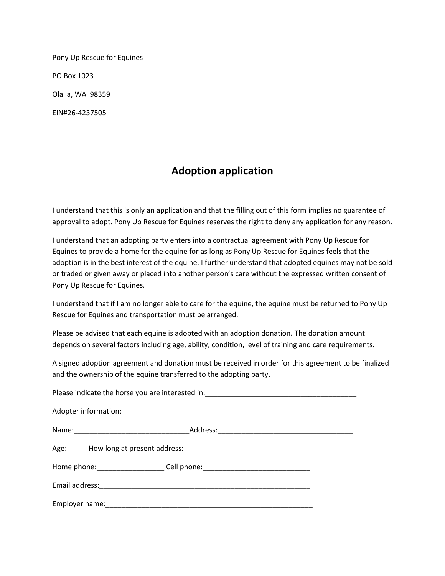Pony Up Rescue for Equines PO Box 1023 Olalla, WA 98359 EIN#26-4237505

## **Adoption application**

I understand that this is only an application and that the filling out of this form implies no guarantee of approval to adopt. Pony Up Rescue for Equines reserves the right to deny any application for any reason.

I understand that an adopting party enters into a contractual agreement with Pony Up Rescue for Equines to provide a home for the equine for as long as Pony Up Rescue for Equines feels that the adoption is in the best interest of the equine. I further understand that adopted equines may not be sold or traded or given away or placed into another person's care without the expressed written consent of Pony Up Rescue for Equines.

I understand that if I am no longer able to care for the equine, the equine must be returned to Pony Up Rescue for Equines and transportation must be arranged.

Please be advised that each equine is adopted with an adoption donation. The donation amount depends on several factors including age, ability, condition, level of training and care requirements.

A signed adoption agreement and donation must be received in order for this agreement to be finalized and the ownership of the equine transferred to the adopting party.

| Please indicate the horse you are interested in: _______________________________ |                                                                                  |  |
|----------------------------------------------------------------------------------|----------------------------------------------------------------------------------|--|
| Adopter information:                                                             |                                                                                  |  |
|                                                                                  |                                                                                  |  |
| Age: How long at present address:                                                |                                                                                  |  |
|                                                                                  | Home phone: __________________________Cell phone: ______________________________ |  |
|                                                                                  |                                                                                  |  |
|                                                                                  |                                                                                  |  |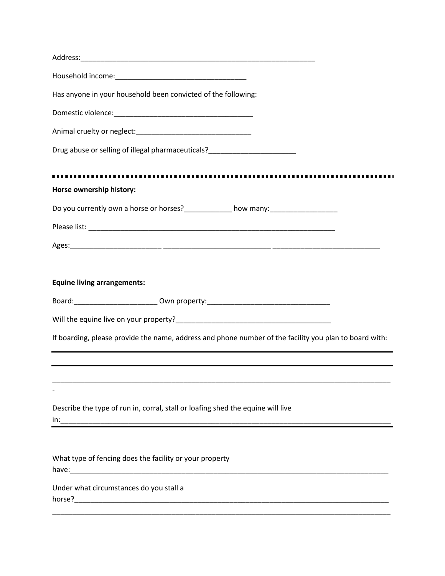| Has anyone in your household been convicted of the following:                                          |
|--------------------------------------------------------------------------------------------------------|
|                                                                                                        |
|                                                                                                        |
| Drug abuse or selling of illegal pharmaceuticals?_______________________________                       |
|                                                                                                        |
| Horse ownership history:                                                                               |
| Do you currently own a horse or horses?____________ how many:___________________                       |
|                                                                                                        |
|                                                                                                        |
| <b>Equine living arrangements:</b>                                                                     |
| Board: __________________________ Own property: ________________________________                       |
|                                                                                                        |
| If boarding, please provide the name, address and phone number of the facility you plan to board with: |
|                                                                                                        |
|                                                                                                        |
| Describe the type of run in, corral, stall or loafing shed the equine will live                        |
|                                                                                                        |
| What type of fencing does the facility or your property                                                |
| Under what circumstances do you stall a                                                                |
|                                                                                                        |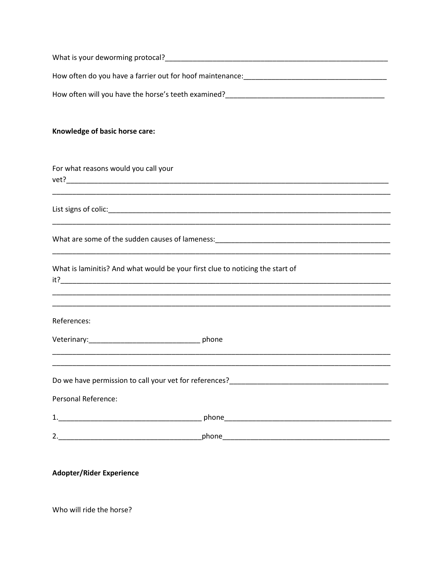| Knowledge of basic horse care:       |
|--------------------------------------|
|                                      |
| For what reasons would you call your |
|                                      |
|                                      |
|                                      |

| What is laminitis? And what would be your first clue to noticing the start of |  |
|-------------------------------------------------------------------------------|--|
| it?                                                                           |  |

References:

| phone |
|-------|
|       |

Personal Reference:

| ᆠ.                             | ممصا<br>pouc |
|--------------------------------|--------------|
|                                |              |
| $\overline{\phantom{0}}$<br>z. | .            |

**Adopter/Rider Experience** 

Who will ride the horse?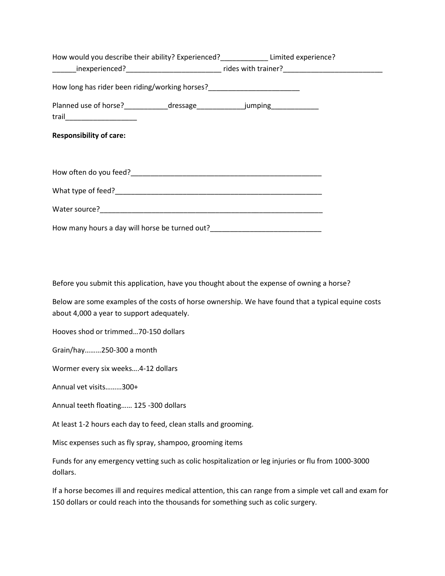| How would you describe their ability? Experienced?_______________Limited experience?                              |  |
|-------------------------------------------------------------------------------------------------------------------|--|
| _______inexperienced?________________________________rides with trainer?____________________________              |  |
| How long has rider been riding/working horses?__________________________________                                  |  |
| Planned use of horse?_____________dressage_______________jumping________________<br>trail________________________ |  |
| <b>Responsibility of care:</b>                                                                                    |  |
|                                                                                                                   |  |
|                                                                                                                   |  |
|                                                                                                                   |  |
| How many hours a day will horse be turned out?__________________________________                                  |  |

Before you submit this application, have you thought about the expense of owning a horse?

Below are some examples of the costs of horse ownership. We have found that a typical equine costs about 4,000 a year to support adequately.

Hooves shod or trimmed…70-150 dollars

Grain/hay………250-300 a month

Wormer every six weeks….4-12 dollars

Annual vet visits………300+

Annual teeth floating…… 125 -300 dollars

At least 1-2 hours each day to feed, clean stalls and grooming.

Misc expenses such as fly spray, shampoo, grooming items

Funds for any emergency vetting such as colic hospitalization or leg injuries or flu from 1000-3000 dollars.

If a horse becomes ill and requires medical attention, this can range from a simple vet call and exam for 150 dollars or could reach into the thousands for something such as colic surgery.